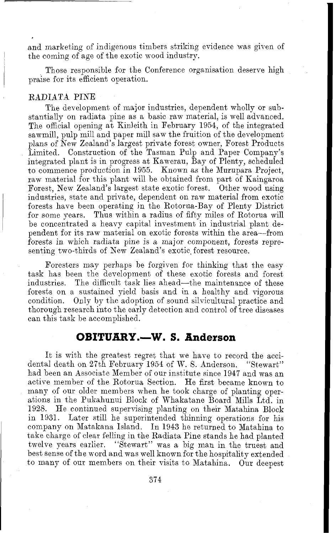and marketing of indigenous timbers striking evidence was given of the coming of age of the exotic wood industry.

<sup>I</sup>Those responsible for the Conference organisation deserve high praise for its efficient operation.

### RADIATA PINE

The development of major industries, dependent wholly or substantially on radiata pine as a basic raw material, is well advanced. The official opening at Kinleith in February 1964, of the integrated sawmill, pulp mill and paper mill saw the fruition of the development plans of New Zealand's largest private forest owner, Forest Products Limited. Construction of the Tasman Pulp and Paper Company's integrated plant is in progress at Kawerau, Bay of Plenty, scheduled to commence production in 1955. Known as the Murupara Project, raw material for this plant will be obtained from part of Kaingaroa Forest, New Zealand's largest state exotic forest. Other wood using industries, state and private, dependent on raw material from exotic forests have been operating in the Rotorua-Bay of Plenty District for some years. Thus within a radius of fifty miles of Rotorua will be concentrated a heavy capital investment in industrial plant dependent for its raw material on exotic forests within the area-from forests in which radiata pine is a major component, forests representing two-thirds of New Zealand's exotic forest resource.

Foresters may perhaps be forgiven for thinking that the easy task has been the development of these exotic forests and forest industries. The difficult task lies ahead—the maintenance of these forests on a sustained yield basis and in a healthy and vigorous condition. Only by the adoption of sound silvicultural practice and thorough research into the early detection and control of tree diseases can this task be accomplished.

# **OBITUARY.-W. S. Anderson**

It is with the greatest regret that we have to record the accidental death on 27th February 1954 of W. S. Anderson. "Stewart" had been an Associate Member of our institute since 1947 and was an active member of the Rotorua Section. He first became known to many of our older members when he took charge of planting operations in the Pukahunui Block of Whakatane Board Mills Ltd. in 1938. He continued supervising planting on their Mataluna Block in 1931. Later still he superintended thinning operations for his company on Matakana Island. In 1943 he returned to Matahina to take charge of clear felling in the Radiata Pine stands he had planted twelve years earlier. "Stewart" was a big man in the truest and best sense of the word and was well known for the hospitality extended to many of our members on their visits to Matahina. Our deepest